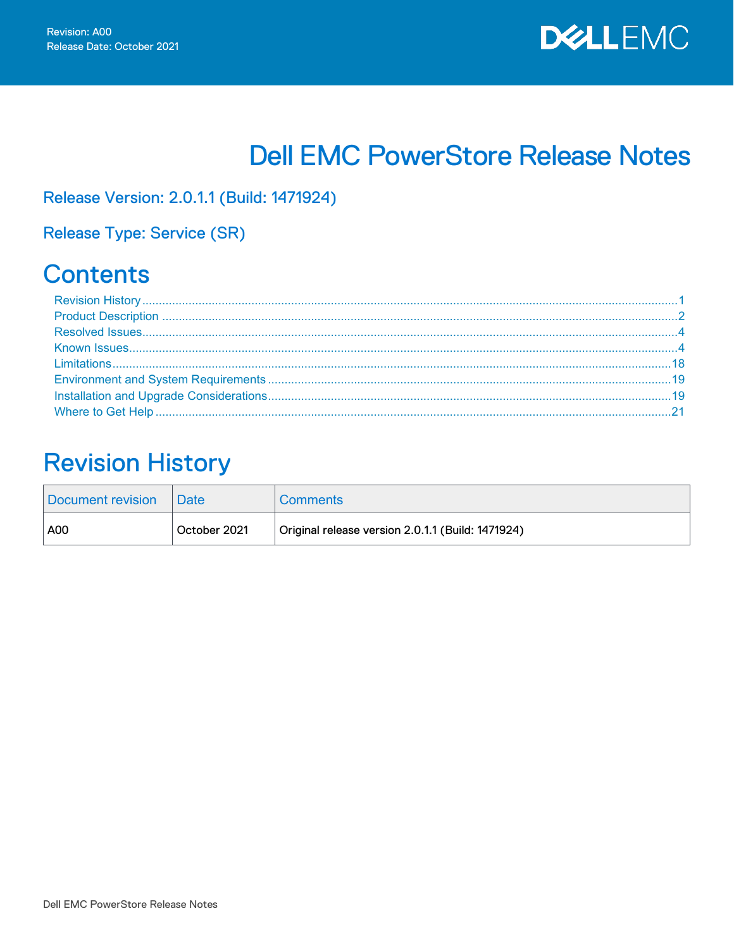

# **Dell EMC PowerStore Release Notes**

Release Version: 2.0.1.1 (Build: 1471924)

**Release Type: Service (SR)** 

# **Contents**

# <span id="page-0-0"></span>**Revision History**

| Document revision | ∣Date        | <b>Comments</b>                                   |
|-------------------|--------------|---------------------------------------------------|
| A00               | October 2021 | Original release version 2.0.1.1 (Build: 1471924) |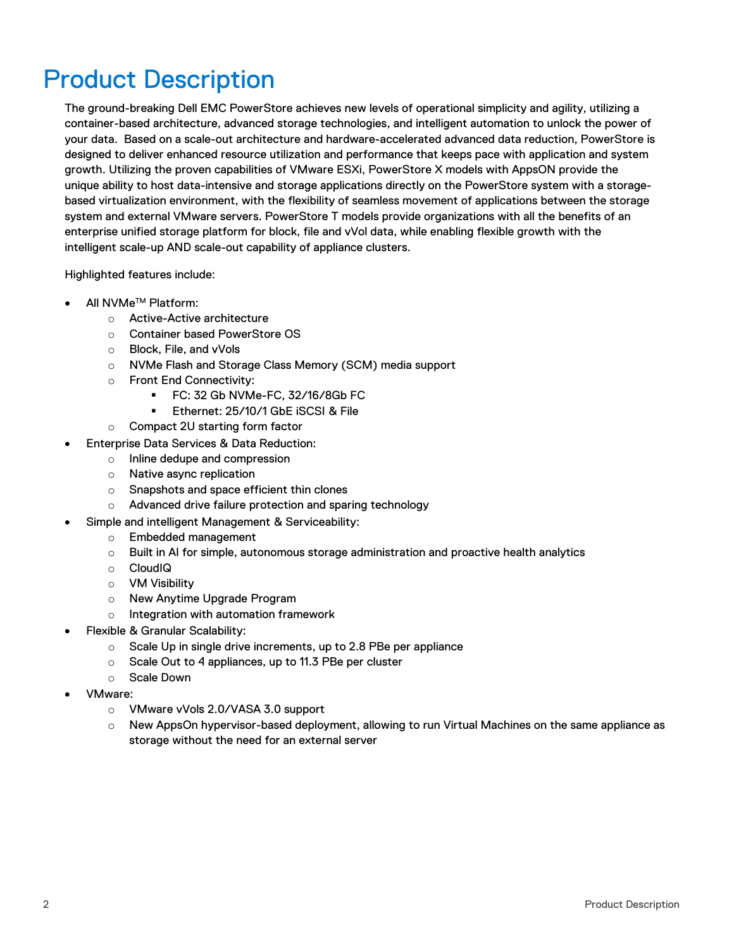# <span id="page-1-0"></span>Product Description

The ground-breaking Dell EMC PowerStore achieves new levels of operational simplicity and agility, utilizing a container-based architecture, advanced storage technologies, and intelligent automation to unlock the power of your data. Based on a scale-out architecture and hardware-accelerated advanced data reduction, PowerStore is designed to deliver enhanced resource utilization and performance that keeps pace with application and system growth. Utilizing the proven capabilities of VMware ESXi, PowerStore X models with AppsON provide the unique ability to host data-intensive and storage applications directly on the PowerStore system with a storagebased virtualization environment, with the flexibility of seamless movement of applications between the storage system and external VMware servers. PowerStore T models provide organizations with all the benefits of an enterprise unified storage platform for block, file and vVol data, while enabling flexible growth with the intelligent scale-up AND scale-out capability of appliance clusters.

Highlighted features include:

- All NVMe<sup>™</sup> Platform:
	- o Active-Active architecture
	- o Container based PowerStore OS
	- o Block, File, and vVols
	- o NVMe Flash and Storage Class Memory (SCM) media support
	- o Front End Connectivity:
		- FC: 32 Gb NVMe-FC, 32/16/8Gb FC
		- **Ethernet: 25/10/1 GbE iSCSI & File**
	- o Compact 2U starting form factor
- Enterprise Data Services & Data Reduction:
	- o Inline dedupe and compression
	- o Native async replication
	- o Snapshots and space efficient thin clones
	- o Advanced drive failure protection and sparing technology
- Simple and intelligent Management & Serviceability:
	- o Embedded management
	- $\circ$  Built in AI for simple, autonomous storage administration and proactive health analytics
	- o CloudIQ
	- o VM Visibility
	- o New Anytime Upgrade Program
	- o Integration with automation framework
- Flexible & Granular Scalability:
	- $\circ$  Scale Up in single drive increments, up to 2.8 PBe per appliance
	- o Scale Out to 4 appliances, up to 11.3 PBe per cluster
	- o Scale Down
- VMware:
	- o VMware vVols 2.0/VASA 3.0 support
	- o New AppsOn hypervisor-based deployment, allowing to run Virtual Machines on the same appliance as storage without the need for an external server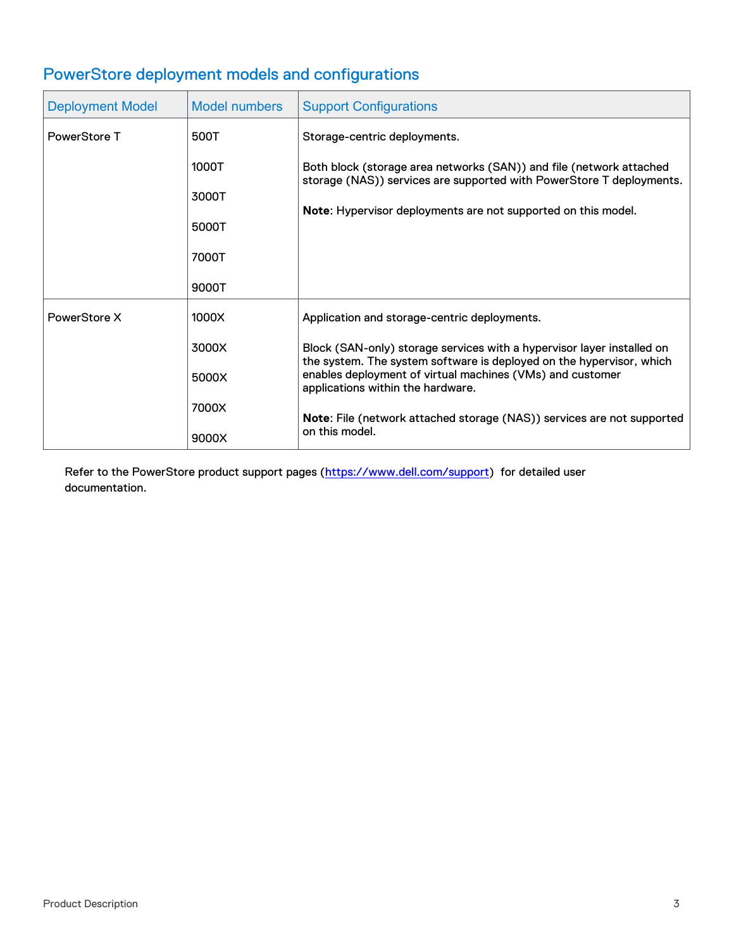## PowerStore deployment models and configurations

| <b>Deployment Model</b> | <b>Model numbers</b> | <b>Support Configurations</b>                                                                                                                  |
|-------------------------|----------------------|------------------------------------------------------------------------------------------------------------------------------------------------|
| <b>PowerStore T</b>     | 500T                 | Storage-centric deployments.                                                                                                                   |
|                         | 1000T                | Both block (storage area networks (SAN)) and file (network attached<br>storage (NAS)) services are supported with PowerStore T deployments.    |
|                         | 3000T                |                                                                                                                                                |
|                         | 5000T                | Note: Hypervisor deployments are not supported on this model.                                                                                  |
|                         | 7000T                |                                                                                                                                                |
|                         | 9000T                |                                                                                                                                                |
| PowerStore X            | 1000X                | Application and storage-centric deployments.                                                                                                   |
|                         | 3000X                | Block (SAN-only) storage services with a hypervisor layer installed on<br>the system. The system software is deployed on the hypervisor, which |
|                         | 5000X                | enables deployment of virtual machines (VMs) and customer<br>applications within the hardware.                                                 |
|                         | 7000X                | Note: File (network attached storage (NAS)) services are not supported                                                                         |
|                         | 9000X                | on this model.                                                                                                                                 |

Refer to the PowerStore product support pages [\(https://www.dell.com/support\)](https://www.dell.com/support) for detailed user documentation.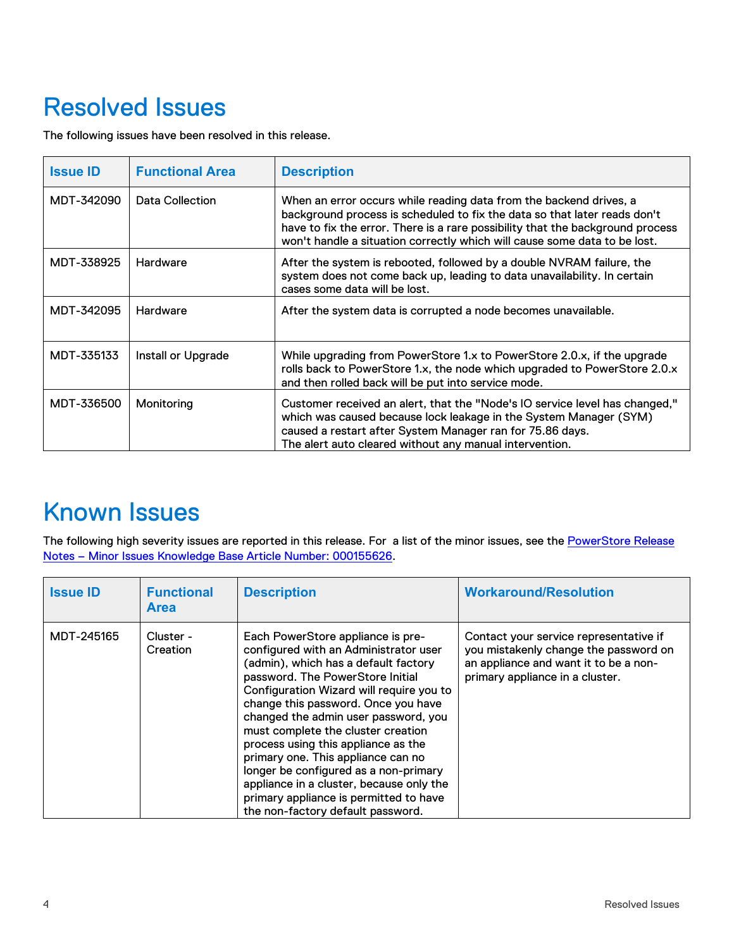# <span id="page-3-0"></span>Resolved Issues

The following issues have been resolved in this release.

| <b>Issue ID</b> | <b>Functional Area</b> | <b>Description</b>                                                                                                                                                                                                                                                                                             |
|-----------------|------------------------|----------------------------------------------------------------------------------------------------------------------------------------------------------------------------------------------------------------------------------------------------------------------------------------------------------------|
| MDT-342090      | Data Collection        | When an error occurs while reading data from the backend drives, a<br>background process is scheduled to fix the data so that later reads don't<br>have to fix the error. There is a rare possibility that the background process<br>won't handle a situation correctly which will cause some data to be lost. |
| MDT-338925      | Hardware               | After the system is rebooted, followed by a double NVRAM failure, the<br>system does not come back up, leading to data unavailability. In certain<br>cases some data will be lost.                                                                                                                             |
| MDT-342095      | Hardware               | After the system data is corrupted a node becomes unavailable.                                                                                                                                                                                                                                                 |
| MDT-335133      | Install or Upgrade     | While upgrading from PowerStore 1.x to PowerStore 2.0.x, if the upgrade<br>rolls back to PowerStore 1.x, the node which upgraded to PowerStore 2.0.x<br>and then rolled back will be put into service mode.                                                                                                    |
| MDT-336500      | Monitoring             | Customer received an alert, that the "Node's IO service level has changed,"<br>which was caused because lock leakage in the System Manager (SYM)<br>caused a restart after System Manager ran for 75.86 days.<br>The alert auto cleared without any manual intervention.                                       |

## <span id="page-3-1"></span>Known Issues

The following high severity issues are reported in this release. For a list of the minor issues, see the [PowerStore Release](https://www.dell.com/support/kbdoc/en-us/000155626/powerstore-powerstore-release-notes-minor-issues) Notes – [Minor Issues Knowledge Base Article](https://www.dell.com/support/kbdoc/en-us/000155626/powerstore-powerstore-release-notes-minor-issues) Number: 000155626.

| <b>Issue ID</b> | <b>Functional</b><br><b>Area</b> | <b>Description</b>                                                                                                                                                                                                                                                                                                                                                                                                                                                                                                                                                       | <b>Workaround/Resolution</b>                                                                                                                                |
|-----------------|----------------------------------|--------------------------------------------------------------------------------------------------------------------------------------------------------------------------------------------------------------------------------------------------------------------------------------------------------------------------------------------------------------------------------------------------------------------------------------------------------------------------------------------------------------------------------------------------------------------------|-------------------------------------------------------------------------------------------------------------------------------------------------------------|
| MDT-245165      | Cluster -<br>Creation            | Each PowerStore appliance is pre-<br>configured with an Administrator user<br>(admin), which has a default factory<br>password. The PowerStore Initial<br>Configuration Wizard will require you to<br>change this password. Once you have<br>changed the admin user password, you<br>must complete the cluster creation<br>process using this appliance as the<br>primary one. This appliance can no<br>longer be configured as a non-primary<br>appliance in a cluster, because only the<br>primary appliance is permitted to have<br>the non-factory default password. | Contact your service representative if<br>you mistakenly change the password on<br>an appliance and want it to be a non-<br>primary appliance in a cluster. |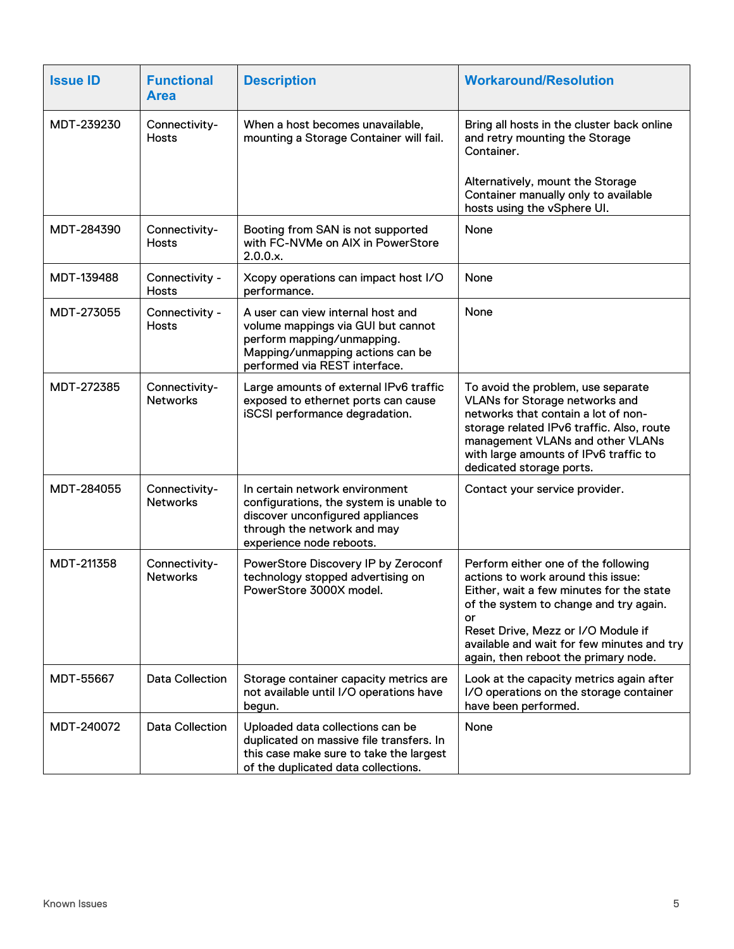| <b>Issue ID</b> | <b>Functional</b><br><b>Area</b> | <b>Description</b>                                                                                                                                                         | <b>Workaround/Resolution</b>                                                                                                                                                                                                                                                                      |
|-----------------|----------------------------------|----------------------------------------------------------------------------------------------------------------------------------------------------------------------------|---------------------------------------------------------------------------------------------------------------------------------------------------------------------------------------------------------------------------------------------------------------------------------------------------|
| MDT-239230      | Connectivity-<br><b>Hosts</b>    | When a host becomes unavailable,<br>mounting a Storage Container will fail.                                                                                                | Bring all hosts in the cluster back online<br>and retry mounting the Storage<br>Container.                                                                                                                                                                                                        |
|                 |                                  |                                                                                                                                                                            | Alternatively, mount the Storage<br>Container manually only to available<br>hosts using the vSphere UI.                                                                                                                                                                                           |
| MDT-284390      | Connectivity-<br><b>Hosts</b>    | Booting from SAN is not supported<br>with FC-NVMe on AIX in PowerStore<br>2.0.0.x.                                                                                         | None                                                                                                                                                                                                                                                                                              |
| MDT-139488      | Connectivity -<br>Hosts          | Xcopy operations can impact host I/O<br>performance.                                                                                                                       | None                                                                                                                                                                                                                                                                                              |
| MDT-273055      | Connectivity -<br>Hosts          | A user can view internal host and<br>volume mappings via GUI but cannot<br>perform mapping/unmapping.<br>Mapping/unmapping actions can be<br>performed via REST interface. | None                                                                                                                                                                                                                                                                                              |
| MDT-272385      | Connectivity-<br><b>Networks</b> | Large amounts of external IPv6 traffic<br>exposed to ethernet ports can cause<br>iSCSI performance degradation.                                                            | To avoid the problem, use separate<br><b>VLANs for Storage networks and</b><br>networks that contain a lot of non-<br>storage related IPv6 traffic. Also, route<br>management VLANs and other VLANs<br>with large amounts of IPv6 traffic to<br>dedicated storage ports.                          |
| MDT-284055      | Connectivity-<br><b>Networks</b> | In certain network environment<br>configurations, the system is unable to<br>discover unconfigured appliances<br>through the network and may<br>experience node reboots.   | Contact your service provider.                                                                                                                                                                                                                                                                    |
| MDT-211358      | Connectivity-<br><b>Networks</b> | PowerStore Discovery IP by Zeroconf<br>technology stopped advertising on<br>PowerStore 3000X model.                                                                        | Perform either one of the following<br>actions to work around this issue:<br>Either, wait a few minutes for the state<br>of the system to change and try again.<br>or<br>Reset Drive, Mezz or I/O Module if<br>available and wait for few minutes and try<br>again, then reboot the primary node. |
| MDT-55667       | <b>Data Collection</b>           | Storage container capacity metrics are<br>not available until I/O operations have<br>begun.                                                                                | Look at the capacity metrics again after<br>I/O operations on the storage container<br>have been performed.                                                                                                                                                                                       |
| MDT-240072      | <b>Data Collection</b>           | Uploaded data collections can be<br>duplicated on massive file transfers. In<br>this case make sure to take the largest<br>of the duplicated data collections.             | None                                                                                                                                                                                                                                                                                              |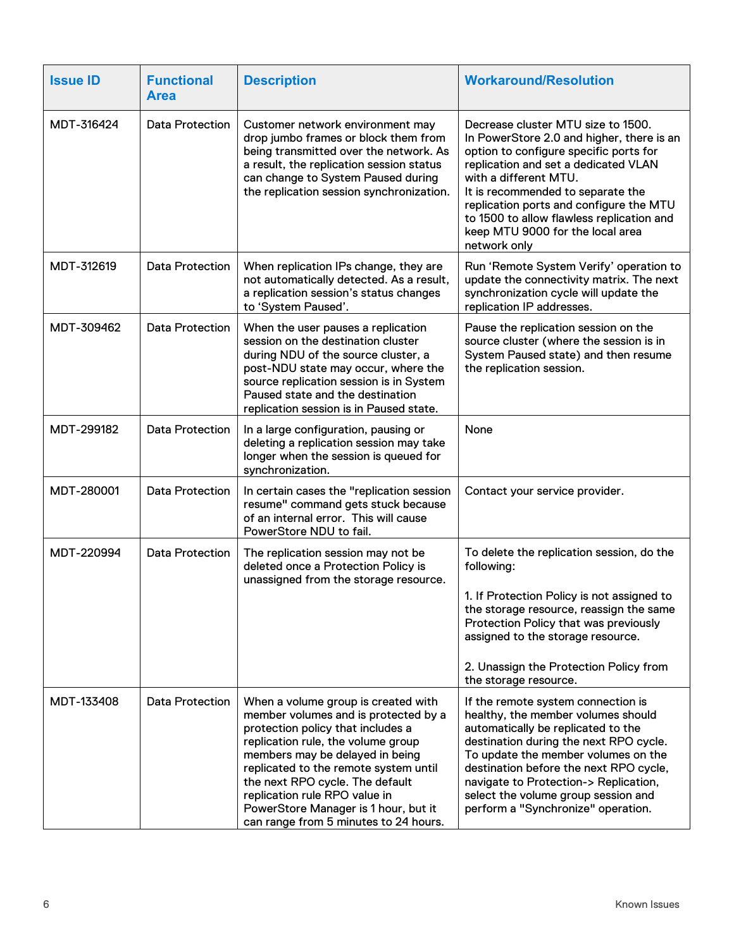| <b>Issue ID</b> | <b>Functional</b><br><b>Area</b> | <b>Description</b>                                                                                                                                                                                                                                                                                                                                                                      | <b>Workaround/Resolution</b>                                                                                                                                                                                                                                                                                                                                                |
|-----------------|----------------------------------|-----------------------------------------------------------------------------------------------------------------------------------------------------------------------------------------------------------------------------------------------------------------------------------------------------------------------------------------------------------------------------------------|-----------------------------------------------------------------------------------------------------------------------------------------------------------------------------------------------------------------------------------------------------------------------------------------------------------------------------------------------------------------------------|
| MDT-316424      | <b>Data Protection</b>           | Customer network environment may<br>drop jumbo frames or block them from<br>being transmitted over the network. As<br>a result, the replication session status<br>can change to System Paused during<br>the replication session synchronization.                                                                                                                                        | Decrease cluster MTU size to 1500.<br>In PowerStore 2.0 and higher, there is an<br>option to configure specific ports for<br>replication and set a dedicated VLAN<br>with a different MTU.<br>It is recommended to separate the<br>replication ports and configure the MTU<br>to 1500 to allow flawless replication and<br>keep MTU 9000 for the local area<br>network only |
| MDT-312619      | <b>Data Protection</b>           | When replication IPs change, they are<br>not automatically detected. As a result,<br>a replication session's status changes<br>to 'System Paused'.                                                                                                                                                                                                                                      | Run 'Remote System Verify' operation to<br>update the connectivity matrix. The next<br>synchronization cycle will update the<br>replication IP addresses.                                                                                                                                                                                                                   |
| MDT-309462      | Data Protection                  | When the user pauses a replication<br>session on the destination cluster<br>during NDU of the source cluster, a<br>post-NDU state may occur, where the<br>source replication session is in System<br>Paused state and the destination<br>replication session is in Paused state.                                                                                                        | Pause the replication session on the<br>source cluster (where the session is in<br>System Paused state) and then resume<br>the replication session.                                                                                                                                                                                                                         |
| MDT-299182      | <b>Data Protection</b>           | In a large configuration, pausing or<br>deleting a replication session may take<br>longer when the session is queued for<br>synchronization.                                                                                                                                                                                                                                            | None                                                                                                                                                                                                                                                                                                                                                                        |
| MDT-280001      | <b>Data Protection</b>           | In certain cases the "replication session<br>resume" command gets stuck because<br>of an internal error. This will cause<br>PowerStore NDU to fail.                                                                                                                                                                                                                                     | Contact your service provider.                                                                                                                                                                                                                                                                                                                                              |
| MDT-220994      | <b>Data Protection</b>           | The replication session may not be<br>deleted once a Protection Policy is<br>unassigned from the storage resource.                                                                                                                                                                                                                                                                      | To delete the replication session, do the<br>following:<br>1. If Protection Policy is not assigned to<br>the storage resource, reassign the same<br>Protection Policy that was previously<br>assigned to the storage resource.<br>2. Unassign the Protection Policy from<br>the storage resource.                                                                           |
| MDT-133408      | <b>Data Protection</b>           | When a volume group is created with<br>member volumes and is protected by a<br>protection policy that includes a<br>replication rule, the volume group<br>members may be delayed in being<br>replicated to the remote system until<br>the next RPO cycle. The default<br>replication rule RPO value in<br>PowerStore Manager is 1 hour, but it<br>can range from 5 minutes to 24 hours. | If the remote system connection is<br>healthy, the member volumes should<br>automatically be replicated to the<br>destination during the next RPO cycle.<br>To update the member volumes on the<br>destination before the next RPO cycle,<br>navigate to Protection-> Replication,<br>select the volume group session and<br>perform a "Synchronize" operation.             |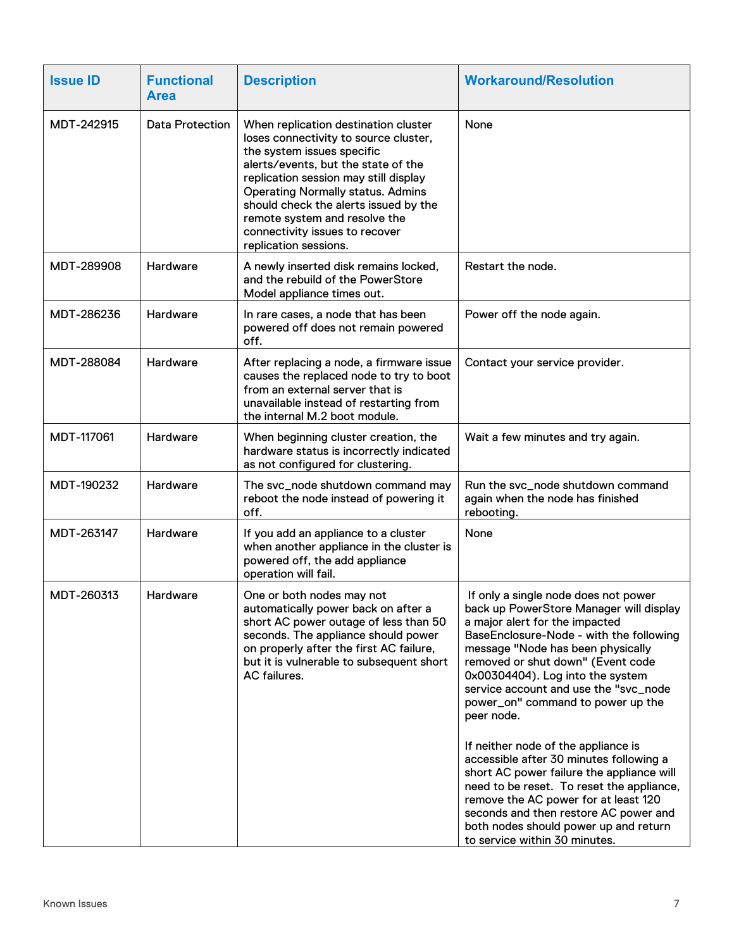| <b>Issue ID</b> | <b>Functional</b><br><b>Area</b> | <b>Description</b>                                                                                                                                                                                                                                                                                                                                                           | <b>Workaround/Resolution</b>                                                                                                                                                                                                                                                                                                                                                                                                                                                                                                                                                                                                                                                 |
|-----------------|----------------------------------|------------------------------------------------------------------------------------------------------------------------------------------------------------------------------------------------------------------------------------------------------------------------------------------------------------------------------------------------------------------------------|------------------------------------------------------------------------------------------------------------------------------------------------------------------------------------------------------------------------------------------------------------------------------------------------------------------------------------------------------------------------------------------------------------------------------------------------------------------------------------------------------------------------------------------------------------------------------------------------------------------------------------------------------------------------------|
| MDT-242915      | <b>Data Protection</b>           | When replication destination cluster<br>loses connectivity to source cluster,<br>the system issues specific<br>alerts/events, but the state of the<br>replication session may still display<br><b>Operating Normally status. Admins</b><br>should check the alerts issued by the<br>remote system and resolve the<br>connectivity issues to recover<br>replication sessions. | None                                                                                                                                                                                                                                                                                                                                                                                                                                                                                                                                                                                                                                                                         |
| MDT-289908      | Hardware                         | A newly inserted disk remains locked,<br>and the rebuild of the PowerStore<br>Model appliance times out.                                                                                                                                                                                                                                                                     | Restart the node.                                                                                                                                                                                                                                                                                                                                                                                                                                                                                                                                                                                                                                                            |
| MDT-286236      | Hardware                         | In rare cases, a node that has been<br>powered off does not remain powered<br>off.                                                                                                                                                                                                                                                                                           | Power off the node again.                                                                                                                                                                                                                                                                                                                                                                                                                                                                                                                                                                                                                                                    |
| MDT-288084      | Hardware                         | After replacing a node, a firmware issue<br>causes the replaced node to try to boot<br>from an external server that is<br>unavailable instead of restarting from<br>the internal M.2 boot module.                                                                                                                                                                            | Contact your service provider.                                                                                                                                                                                                                                                                                                                                                                                                                                                                                                                                                                                                                                               |
| MDT-117061      | Hardware                         | When beginning cluster creation, the<br>hardware status is incorrectly indicated<br>as not configured for clustering.                                                                                                                                                                                                                                                        | Wait a few minutes and try again.                                                                                                                                                                                                                                                                                                                                                                                                                                                                                                                                                                                                                                            |
| MDT-190232      | Hardware                         | The svc_node shutdown command may<br>reboot the node instead of powering it<br>off.                                                                                                                                                                                                                                                                                          | Run the svc_node shutdown command<br>again when the node has finished<br>rebooting.                                                                                                                                                                                                                                                                                                                                                                                                                                                                                                                                                                                          |
| MDT-263147      | Hardware                         | If you add an appliance to a cluster<br>when another appliance in the cluster is<br>powered off, the add appliance<br>operation will fail.                                                                                                                                                                                                                                   | None                                                                                                                                                                                                                                                                                                                                                                                                                                                                                                                                                                                                                                                                         |
| MDT-260313      | Hardware                         | One or both nodes may not<br>automatically power back on after a<br>short AC power outage of less than 50<br>seconds. The appliance should power<br>on properly after the first AC failure,<br>but it is vulnerable to subsequent short<br>AC failures.                                                                                                                      | If only a single node does not power<br>back up PowerStore Manager will display<br>a major alert for the impacted<br>BaseEnclosure-Node - with the following<br>message "Node has been physically<br>removed or shut down" (Event code<br>0x00304404). Log into the system<br>service account and use the "svc_node<br>power_on" command to power up the<br>peer node.<br>If neither node of the appliance is<br>accessible after 30 minutes following a<br>short AC power failure the appliance will<br>need to be reset. To reset the appliance,<br>remove the AC power for at least 120<br>seconds and then restore AC power and<br>both nodes should power up and return |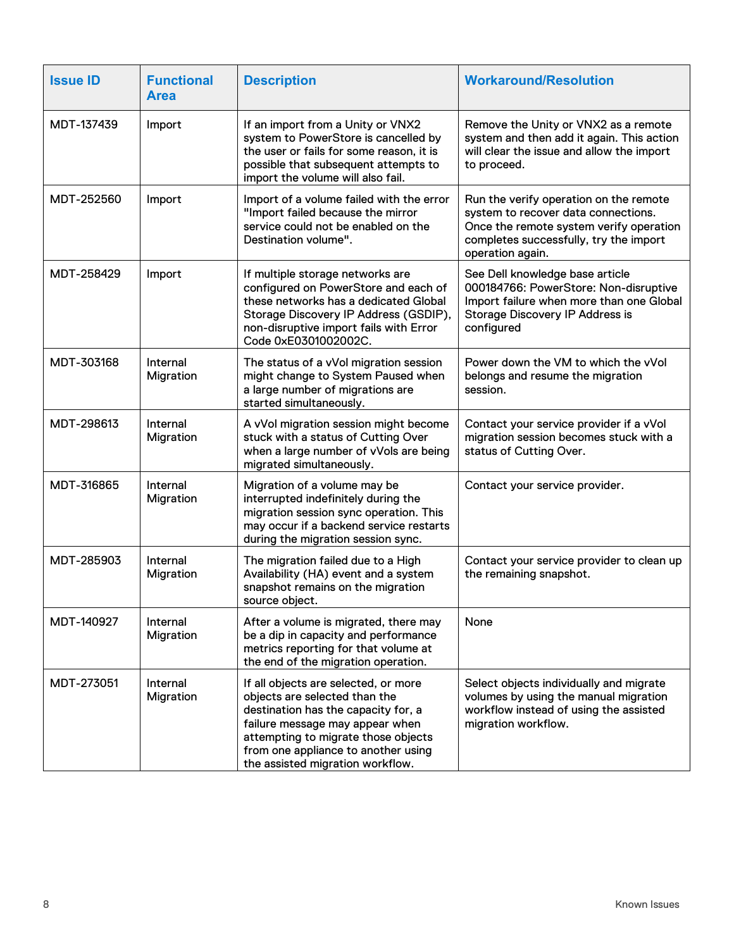| <b>Issue ID</b> | <b>Functional</b><br><b>Area</b> | <b>Description</b>                                                                                                                                                                                                                                                | <b>Workaround/Resolution</b>                                                                                                                                                           |
|-----------------|----------------------------------|-------------------------------------------------------------------------------------------------------------------------------------------------------------------------------------------------------------------------------------------------------------------|----------------------------------------------------------------------------------------------------------------------------------------------------------------------------------------|
| MDT-137439      | Import                           | If an import from a Unity or VNX2<br>system to PowerStore is cancelled by<br>the user or fails for some reason, it is<br>possible that subsequent attempts to<br>import the volume will also fail.                                                                | Remove the Unity or VNX2 as a remote<br>system and then add it again. This action<br>will clear the issue and allow the import<br>to proceed.                                          |
| MDT-252560      | Import                           | Import of a volume failed with the error<br>"Import failed because the mirror<br>service could not be enabled on the<br>Destination volume".                                                                                                                      | Run the verify operation on the remote<br>system to recover data connections.<br>Once the remote system verify operation<br>completes successfully, try the import<br>operation again. |
| MDT-258429      | Import                           | If multiple storage networks are<br>configured on PowerStore and each of<br>these networks has a dedicated Global<br>Storage Discovery IP Address (GSDIP),<br>non-disruptive import fails with Error<br>Code 0xE0301002002C.                                      | See Dell knowledge base article<br>000184766: PowerStore: Non-disruptive<br>Import failure when more than one Global<br>Storage Discovery IP Address is<br>configured                  |
| MDT-303168      | Internal<br>Migration            | The status of a vVol migration session<br>might change to System Paused when<br>a large number of migrations are<br>started simultaneously.                                                                                                                       | Power down the VM to which the vVol<br>belongs and resume the migration<br>session.                                                                                                    |
| MDT-298613      | Internal<br>Migration            | A vVol migration session might become<br>stuck with a status of Cutting Over<br>when a large number of vVols are being<br>migrated simultaneously.                                                                                                                | Contact your service provider if a vVol<br>migration session becomes stuck with a<br>status of Cutting Over.                                                                           |
| MDT-316865      | Internal<br>Migration            | Migration of a volume may be<br>interrupted indefinitely during the<br>migration session sync operation. This<br>may occur if a backend service restarts<br>during the migration session sync.                                                                    | Contact your service provider.                                                                                                                                                         |
| MDT-285903      | Internal<br>Migration            | The migration failed due to a High<br>Availability (HA) event and a system<br>snapshot remains on the migration<br>source object.                                                                                                                                 | Contact your service provider to clean up<br>the remaining snapshot.                                                                                                                   |
| MDT-140927      | Internal<br>Migration            | After a volume is migrated, there may<br>be a dip in capacity and performance<br>metrics reporting for that volume at<br>the end of the migration operation.                                                                                                      | None                                                                                                                                                                                   |
| MDT-273051      | Internal<br>Migration            | If all objects are selected, or more<br>objects are selected than the<br>destination has the capacity for, a<br>failure message may appear when<br>attempting to migrate those objects<br>from one appliance to another using<br>the assisted migration workflow. | Select objects individually and migrate<br>volumes by using the manual migration<br>workflow instead of using the assisted<br>migration workflow.                                      |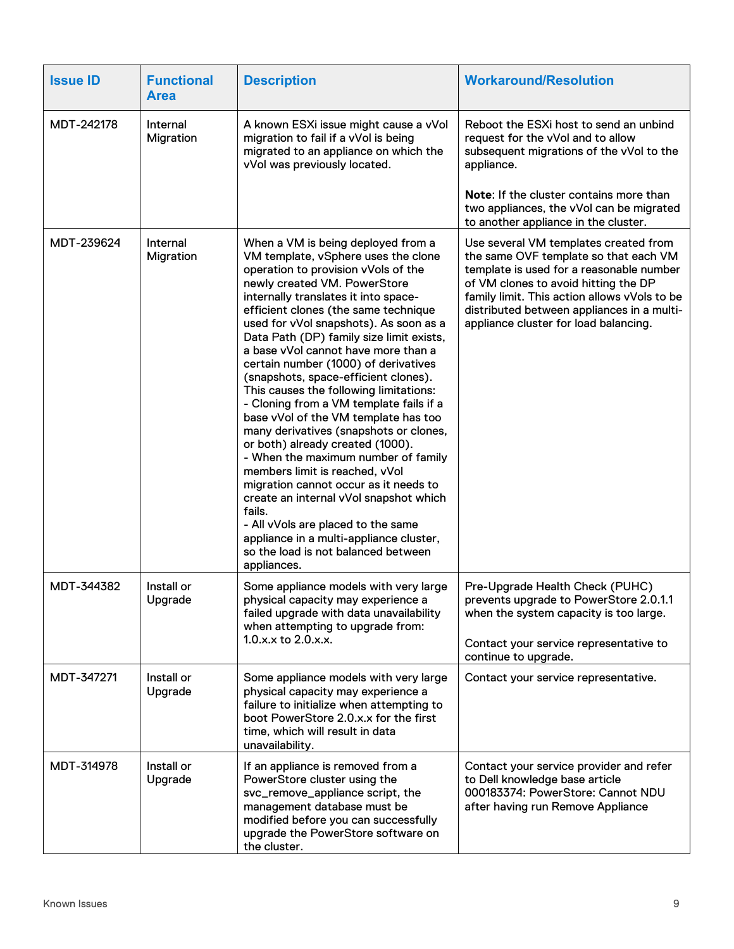| <b>Issue ID</b> | <b>Functional</b><br><b>Area</b> | <b>Description</b>                                                                                                                                                                                                                                                                                                                                                                                                                                                                                                                                                                                                                                                                                                                                                                                                                                                                                                                                                    | <b>Workaround/Resolution</b>                                                                                                                                                                                                                                                                              |
|-----------------|----------------------------------|-----------------------------------------------------------------------------------------------------------------------------------------------------------------------------------------------------------------------------------------------------------------------------------------------------------------------------------------------------------------------------------------------------------------------------------------------------------------------------------------------------------------------------------------------------------------------------------------------------------------------------------------------------------------------------------------------------------------------------------------------------------------------------------------------------------------------------------------------------------------------------------------------------------------------------------------------------------------------|-----------------------------------------------------------------------------------------------------------------------------------------------------------------------------------------------------------------------------------------------------------------------------------------------------------|
| MDT-242178      | Internal<br>Migration            | A known ESXi issue might cause a vVol<br>migration to fail if a vVol is being<br>migrated to an appliance on which the<br>vVol was previously located.                                                                                                                                                                                                                                                                                                                                                                                                                                                                                                                                                                                                                                                                                                                                                                                                                | Reboot the ESXi host to send an unbind<br>request for the vVol and to allow<br>subsequent migrations of the vVol to the<br>appliance.<br><b>Note:</b> If the cluster contains more than<br>two appliances, the vVol can be migrated<br>to another appliance in the cluster.                               |
| MDT-239624      | Internal<br>Migration            | When a VM is being deployed from a<br>VM template, vSphere uses the clone<br>operation to provision vVols of the<br>newly created VM. PowerStore<br>internally translates it into space-<br>efficient clones (the same technique<br>used for vVol snapshots). As soon as a<br>Data Path (DP) family size limit exists,<br>a base vVol cannot have more than a<br>certain number (1000) of derivatives<br>(snapshots, space-efficient clones).<br>This causes the following limitations:<br>- Cloning from a VM template fails if a<br>base vVol of the VM template has too<br>many derivatives (snapshots or clones,<br>or both) already created (1000).<br>- When the maximum number of family<br>members limit is reached, vVol<br>migration cannot occur as it needs to<br>create an internal vVol snapshot which<br>fails.<br>- All vVols are placed to the same<br>appliance in a multi-appliance cluster,<br>so the load is not balanced between<br>appliances. | Use several VM templates created from<br>the same OVF template so that each VM<br>template is used for a reasonable number<br>of VM clones to avoid hitting the DP<br>family limit. This action allows vVols to be<br>distributed between appliances in a multi-<br>appliance cluster for load balancing. |
| MDT-344382      | Install or<br>Upgrade            | Some appliance models with very large<br>physical capacity may experience a<br>failed upgrade with data unavailability<br>when attempting to upgrade from:<br>$1.0 \times x$ to $2.0 \times x$ .                                                                                                                                                                                                                                                                                                                                                                                                                                                                                                                                                                                                                                                                                                                                                                      | Pre-Upgrade Health Check (PUHC)<br>prevents upgrade to PowerStore 2.0.1.1<br>when the system capacity is too large.<br>Contact your service representative to<br>continue to upgrade.                                                                                                                     |
| MDT-347271      | Install or<br>Upgrade            | Some appliance models with very large<br>physical capacity may experience a<br>failure to initialize when attempting to<br>boot PowerStore 2.0.x.x for the first<br>time, which will result in data<br>unavailability.                                                                                                                                                                                                                                                                                                                                                                                                                                                                                                                                                                                                                                                                                                                                                | Contact your service representative.                                                                                                                                                                                                                                                                      |
| MDT-314978      | Install or<br>Upgrade            | If an appliance is removed from a<br>PowerStore cluster using the<br>svc_remove_appliance script, the<br>management database must be<br>modified before you can successfully<br>upgrade the PowerStore software on<br>the cluster.                                                                                                                                                                                                                                                                                                                                                                                                                                                                                                                                                                                                                                                                                                                                    | Contact your service provider and refer<br>to Dell knowledge base article<br>000183374: PowerStore: Cannot NDU<br>after having run Remove Appliance                                                                                                                                                       |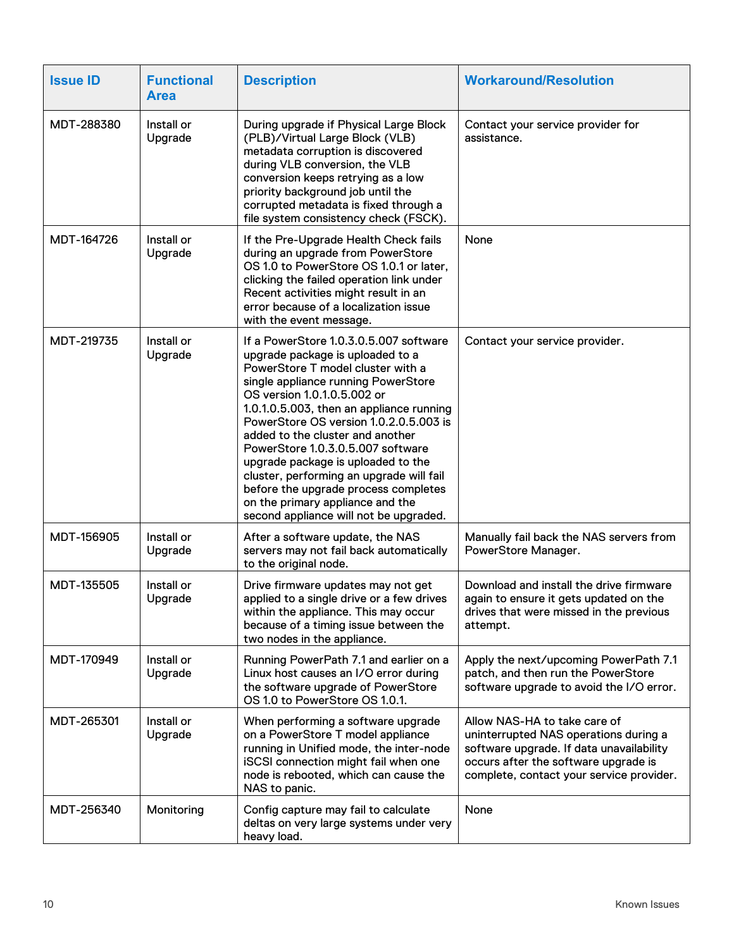| <b>Issue ID</b> | <b>Functional</b><br><b>Area</b> | <b>Description</b>                                                                                                                                                                                                                                                                                                                                                                                                                                                                                                                                           | <b>Workaround/Resolution</b>                                                                                                                                                                          |
|-----------------|----------------------------------|--------------------------------------------------------------------------------------------------------------------------------------------------------------------------------------------------------------------------------------------------------------------------------------------------------------------------------------------------------------------------------------------------------------------------------------------------------------------------------------------------------------------------------------------------------------|-------------------------------------------------------------------------------------------------------------------------------------------------------------------------------------------------------|
| MDT-288380      | Install or<br>Upgrade            | During upgrade if Physical Large Block<br>(PLB)/Virtual Large Block (VLB)<br>metadata corruption is discovered<br>during VLB conversion, the VLB<br>conversion keeps retrying as a low<br>priority background job until the<br>corrupted metadata is fixed through a<br>file system consistency check (FSCK).                                                                                                                                                                                                                                                | Contact your service provider for<br>assistance.                                                                                                                                                      |
| MDT-164726      | Install or<br>Upgrade            | If the Pre-Upgrade Health Check fails<br>during an upgrade from PowerStore<br>OS 1.0 to PowerStore OS 1.0.1 or later,<br>clicking the failed operation link under<br>Recent activities might result in an<br>error because of a localization issue<br>with the event message.                                                                                                                                                                                                                                                                                | None                                                                                                                                                                                                  |
| MDT-219735      | Install or<br>Upgrade            | If a PowerStore 1.0.3.0.5.007 software<br>upgrade package is uploaded to a<br>PowerStore T model cluster with a<br>single appliance running PowerStore<br>OS version 1.0.1.0.5.002 or<br>1.0.1.0.5.003, then an appliance running<br>PowerStore OS version 1.0.2.0.5.003 is<br>added to the cluster and another<br>PowerStore 1.0.3.0.5.007 software<br>upgrade package is uploaded to the<br>cluster, performing an upgrade will fail<br>before the upgrade process completes<br>on the primary appliance and the<br>second appliance will not be upgraded. | Contact your service provider.                                                                                                                                                                        |
| MDT-156905      | Install or<br>Upgrade            | After a software update, the NAS<br>servers may not fail back automatically<br>to the original node.                                                                                                                                                                                                                                                                                                                                                                                                                                                         | Manually fail back the NAS servers from<br>PowerStore Manager.                                                                                                                                        |
| MDT-135505      | Install or<br>Upgrade            | Drive firmware updates may not get<br>applied to a single drive or a few drives<br>within the appliance. This may occur<br>because of a timing issue between the<br>two nodes in the appliance.                                                                                                                                                                                                                                                                                                                                                              | Download and install the drive firmware<br>again to ensure it gets updated on the<br>drives that were missed in the previous<br>attempt.                                                              |
| MDT-170949      | Install or<br>Upgrade            | Running PowerPath 7.1 and earlier on a<br>Linux host causes an I/O error during<br>the software upgrade of PowerStore<br>OS 1.0 to PowerStore OS 1.0.1.                                                                                                                                                                                                                                                                                                                                                                                                      | Apply the next/upcoming PowerPath 7.1<br>patch, and then run the PowerStore<br>software upgrade to avoid the I/O error.                                                                               |
| MDT-265301      | Install or<br>Upgrade            | When performing a software upgrade<br>on a PowerStore T model appliance<br>running in Unified mode, the inter-node<br>iSCSI connection might fail when one<br>node is rebooted, which can cause the<br>NAS to panic.                                                                                                                                                                                                                                                                                                                                         | Allow NAS-HA to take care of<br>uninterrupted NAS operations during a<br>software upgrade. If data unavailability<br>occurs after the software upgrade is<br>complete, contact your service provider. |
| MDT-256340      | Monitoring                       | Config capture may fail to calculate<br>deltas on very large systems under very<br>heavy load.                                                                                                                                                                                                                                                                                                                                                                                                                                                               | None                                                                                                                                                                                                  |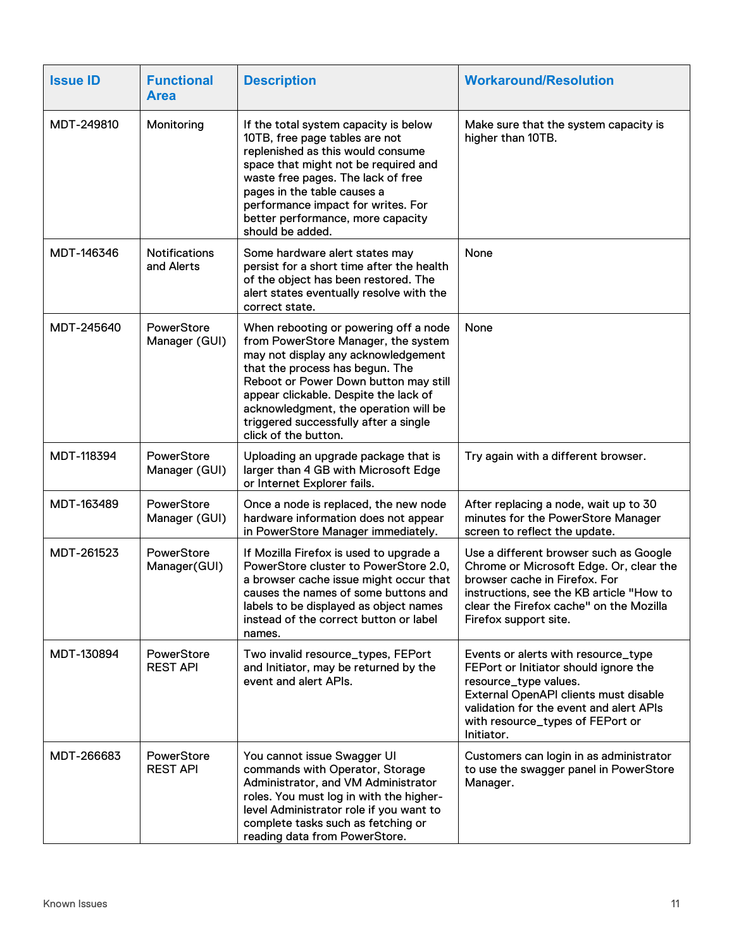| <b>Issue ID</b> | <b>Functional</b><br><b>Area</b>   | <b>Description</b>                                                                                                                                                                                                                                                                                                                                 | <b>Workaround/Resolution</b>                                                                                                                                                                                                                |
|-----------------|------------------------------------|----------------------------------------------------------------------------------------------------------------------------------------------------------------------------------------------------------------------------------------------------------------------------------------------------------------------------------------------------|---------------------------------------------------------------------------------------------------------------------------------------------------------------------------------------------------------------------------------------------|
| MDT-249810      | Monitoring                         | If the total system capacity is below<br>10TB, free page tables are not<br>replenished as this would consume<br>space that might not be required and<br>waste free pages. The lack of free<br>pages in the table causes a<br>performance impact for writes. For<br>better performance, more capacity<br>should be added.                           | Make sure that the system capacity is<br>higher than 10TB.                                                                                                                                                                                  |
| MDT-146346      | <b>Notifications</b><br>and Alerts | Some hardware alert states may<br>persist for a short time after the health<br>of the object has been restored. The<br>alert states eventually resolve with the<br>correct state.                                                                                                                                                                  | None                                                                                                                                                                                                                                        |
| MDT-245640      | PowerStore<br>Manager (GUI)        | When rebooting or powering off a node<br>from PowerStore Manager, the system<br>may not display any acknowledgement<br>that the process has begun. The<br>Reboot or Power Down button may still<br>appear clickable. Despite the lack of<br>acknowledgment, the operation will be<br>triggered successfully after a single<br>click of the button. | None                                                                                                                                                                                                                                        |
| MDT-118394      | PowerStore<br>Manager (GUI)        | Uploading an upgrade package that is<br>larger than 4 GB with Microsoft Edge<br>or Internet Explorer fails.                                                                                                                                                                                                                                        | Try again with a different browser.                                                                                                                                                                                                         |
| MDT-163489      | PowerStore<br>Manager (GUI)        | Once a node is replaced, the new node<br>hardware information does not appear<br>in PowerStore Manager immediately.                                                                                                                                                                                                                                | After replacing a node, wait up to 30<br>minutes for the PowerStore Manager<br>screen to reflect the update.                                                                                                                                |
| MDT-261523      | PowerStore<br>Manager(GUI)         | If Mozilla Firefox is used to upgrade a<br>PowerStore cluster to PowerStore 2.0,<br>a browser cache issue might occur that<br>causes the names of some buttons and<br>labels to be displayed as object names<br>instead of the correct button or label<br>names.                                                                                   | Use a different browser such as Google<br>Chrome or Microsoft Edge. Or, clear the<br>browser cache in Firefox. For<br>instructions, see the KB article "How to<br>clear the Firefox cache" on the Mozilla<br>Firefox support site.          |
| MDT-130894      | PowerStore<br><b>REST API</b>      | Two invalid resource_types, FEPort<br>and Initiator, may be returned by the<br>event and alert APIs.                                                                                                                                                                                                                                               | Events or alerts with resource_type<br>FEPort or Initiator should ignore the<br>resource_type values.<br>External OpenAPI clients must disable<br>validation for the event and alert APIs<br>with resource_types of FEPort or<br>Initiator. |
| MDT-266683      | PowerStore<br><b>REST API</b>      | You cannot issue Swagger UI<br>commands with Operator, Storage<br>Administrator, and VM Administrator<br>roles. You must log in with the higher-<br>level Administrator role if you want to<br>complete tasks such as fetching or<br>reading data from PowerStore.                                                                                 | Customers can login in as administrator<br>to use the swagger panel in PowerStore<br>Manager.                                                                                                                                               |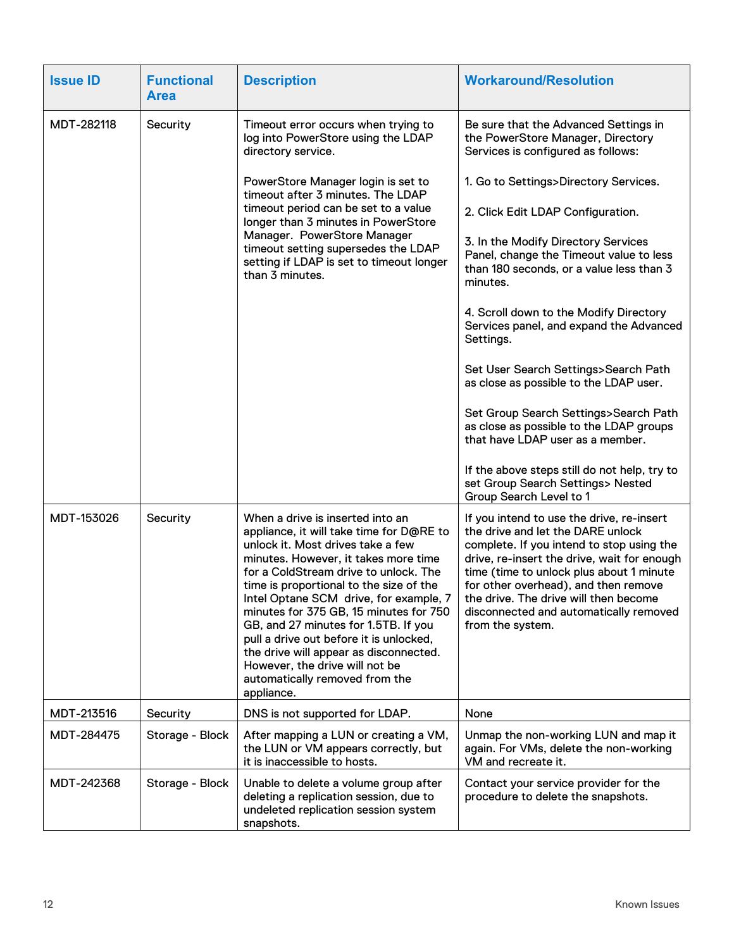| <b>Issue ID</b> | <b>Functional</b><br><b>Area</b> | <b>Description</b>                                                                                                                                                                                                                                                                                                                                                                                                                                                                                                                               | <b>Workaround/Resolution</b>                                                                                                                                                                                                                                                                                                                                          |
|-----------------|----------------------------------|--------------------------------------------------------------------------------------------------------------------------------------------------------------------------------------------------------------------------------------------------------------------------------------------------------------------------------------------------------------------------------------------------------------------------------------------------------------------------------------------------------------------------------------------------|-----------------------------------------------------------------------------------------------------------------------------------------------------------------------------------------------------------------------------------------------------------------------------------------------------------------------------------------------------------------------|
| MDT-282118      | Security                         | Timeout error occurs when trying to<br>log into PowerStore using the LDAP<br>directory service.                                                                                                                                                                                                                                                                                                                                                                                                                                                  | Be sure that the Advanced Settings in<br>the PowerStore Manager, Directory<br>Services is configured as follows:                                                                                                                                                                                                                                                      |
|                 |                                  | PowerStore Manager login is set to<br>timeout after 3 minutes. The LDAP                                                                                                                                                                                                                                                                                                                                                                                                                                                                          | 1. Go to Settings>Directory Services.                                                                                                                                                                                                                                                                                                                                 |
|                 |                                  | timeout period can be set to a value<br>longer than 3 minutes in PowerStore                                                                                                                                                                                                                                                                                                                                                                                                                                                                      | 2. Click Edit LDAP Configuration.                                                                                                                                                                                                                                                                                                                                     |
|                 |                                  | Manager. PowerStore Manager<br>timeout setting supersedes the LDAP<br>setting if LDAP is set to timeout longer<br>than 3 minutes.                                                                                                                                                                                                                                                                                                                                                                                                                | 3. In the Modify Directory Services<br>Panel, change the Timeout value to less<br>than 180 seconds, or a value less than 3<br>minutes.                                                                                                                                                                                                                                |
|                 |                                  |                                                                                                                                                                                                                                                                                                                                                                                                                                                                                                                                                  | 4. Scroll down to the Modify Directory<br>Services panel, and expand the Advanced<br>Settings.                                                                                                                                                                                                                                                                        |
|                 |                                  |                                                                                                                                                                                                                                                                                                                                                                                                                                                                                                                                                  | Set User Search Settings>Search Path<br>as close as possible to the LDAP user.                                                                                                                                                                                                                                                                                        |
|                 |                                  |                                                                                                                                                                                                                                                                                                                                                                                                                                                                                                                                                  | Set Group Search Settings>Search Path<br>as close as possible to the LDAP groups<br>that have LDAP user as a member.                                                                                                                                                                                                                                                  |
|                 |                                  |                                                                                                                                                                                                                                                                                                                                                                                                                                                                                                                                                  | If the above steps still do not help, try to<br>set Group Search Settings> Nested<br>Group Search Level to 1                                                                                                                                                                                                                                                          |
| MDT-153026      | Security                         | When a drive is inserted into an<br>appliance, it will take time for D@RE to<br>unlock it. Most drives take a few<br>minutes. However, it takes more time<br>for a ColdStream drive to unlock. The<br>time is proportional to the size of the<br>Intel Optane SCM drive, for example, 7<br>minutes for 375 GB, 15 minutes for 750<br>GB, and 27 minutes for 1.5TB. If you<br>pull a drive out before it is unlocked,<br>the drive will appear as disconnected.<br>However, the drive will not be<br>automatically removed from the<br>appliance. | If you intend to use the drive, re-insert<br>the drive and let the DARE unlock<br>complete. If you intend to stop using the<br>drive, re-insert the drive, wait for enough<br>time (time to unlock plus about 1 minute<br>for other overhead), and then remove<br>the drive. The drive will then become<br>disconnected and automatically removed<br>from the system. |
| MDT-213516      | Security                         | DNS is not supported for LDAP.                                                                                                                                                                                                                                                                                                                                                                                                                                                                                                                   | None                                                                                                                                                                                                                                                                                                                                                                  |
| MDT-284475      | Storage - Block                  | After mapping a LUN or creating a VM,<br>the LUN or VM appears correctly, but<br>it is inaccessible to hosts.                                                                                                                                                                                                                                                                                                                                                                                                                                    | Unmap the non-working LUN and map it<br>again. For VMs, delete the non-working<br>VM and recreate it.                                                                                                                                                                                                                                                                 |
| MDT-242368      | Storage - Block                  | Unable to delete a volume group after<br>deleting a replication session, due to<br>undeleted replication session system<br>snapshots.                                                                                                                                                                                                                                                                                                                                                                                                            | Contact your service provider for the<br>procedure to delete the snapshots.                                                                                                                                                                                                                                                                                           |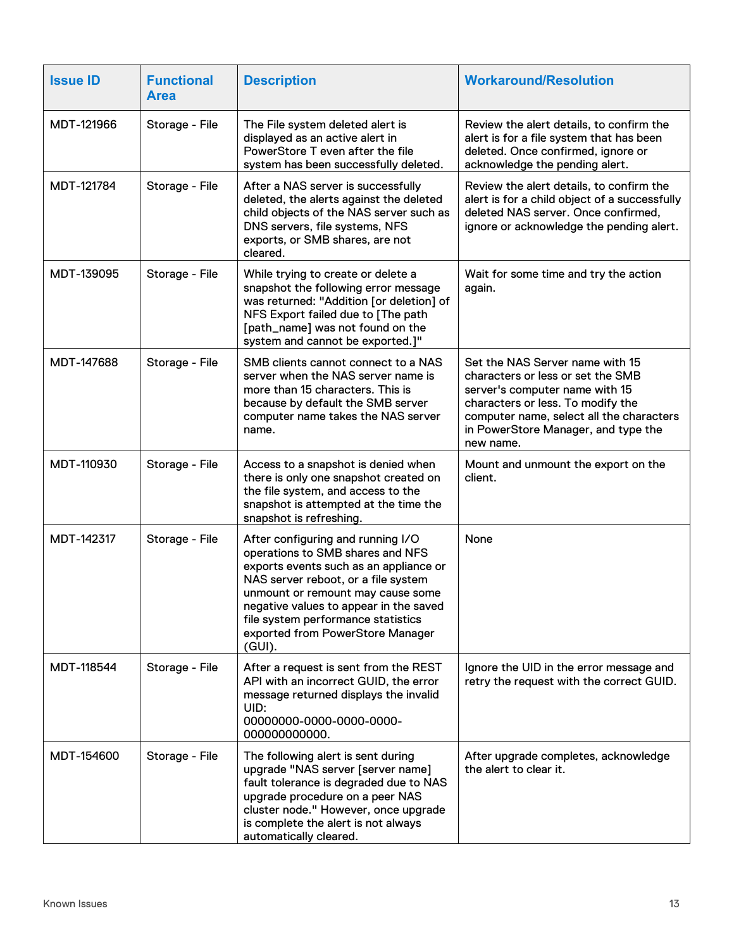| <b>Issue ID</b> | <b>Functional</b><br><b>Area</b> | <b>Description</b>                                                                                                                                                                                                                                                                                                           | <b>Workaround/Resolution</b>                                                                                                                                                                                                                |
|-----------------|----------------------------------|------------------------------------------------------------------------------------------------------------------------------------------------------------------------------------------------------------------------------------------------------------------------------------------------------------------------------|---------------------------------------------------------------------------------------------------------------------------------------------------------------------------------------------------------------------------------------------|
| MDT-121966      | Storage - File                   | The File system deleted alert is<br>displayed as an active alert in<br>PowerStore T even after the file<br>system has been successfully deleted.                                                                                                                                                                             | Review the alert details, to confirm the<br>alert is for a file system that has been<br>deleted. Once confirmed, ignore or<br>acknowledge the pending alert.                                                                                |
| MDT-121784      | Storage - File                   | After a NAS server is successfully<br>deleted, the alerts against the deleted<br>child objects of the NAS server such as<br>DNS servers, file systems, NFS<br>exports, or SMB shares, are not<br>cleared.                                                                                                                    | Review the alert details, to confirm the<br>alert is for a child object of a successfully<br>deleted NAS server. Once confirmed,<br>ignore or acknowledge the pending alert.                                                                |
| MDT-139095      | Storage - File                   | While trying to create or delete a<br>snapshot the following error message<br>was returned: "Addition [or deletion] of<br>NFS Export failed due to [The path<br>[path_name] was not found on the<br>system and cannot be exported.]"                                                                                         | Wait for some time and try the action<br>again.                                                                                                                                                                                             |
| MDT-147688      | Storage - File                   | SMB clients cannot connect to a NAS<br>server when the NAS server name is<br>more than 15 characters. This is<br>because by default the SMB server<br>computer name takes the NAS server<br>name.                                                                                                                            | Set the NAS Server name with 15<br>characters or less or set the SMB<br>server's computer name with 15<br>characters or less. To modify the<br>computer name, select all the characters<br>in PowerStore Manager, and type the<br>new name. |
| MDT-110930      | Storage - File                   | Access to a snapshot is denied when<br>there is only one snapshot created on<br>the file system, and access to the<br>snapshot is attempted at the time the<br>snapshot is refreshing.                                                                                                                                       | Mount and unmount the export on the<br>client.                                                                                                                                                                                              |
| MDT-142317      | Storage - File                   | After configuring and running I/O<br>operations to SMB shares and NFS<br>exports events such as an appliance or<br>NAS server reboot, or a file system<br>unmount or remount may cause some<br>negative values to appear in the saved<br>file system performance statistics<br>exported from PowerStore Manager<br>$(GUI)$ . | None                                                                                                                                                                                                                                        |
| MDT-118544      | Storage - File                   | After a request is sent from the REST<br>API with an incorrect GUID, the error<br>message returned displays the invalid<br>UID:<br>00000000-0000-0000-0000-<br>000000000000.                                                                                                                                                 | Ignore the UID in the error message and<br>retry the request with the correct GUID.                                                                                                                                                         |
| MDT-154600      | Storage - File                   | The following alert is sent during<br>upgrade "NAS server [server name]<br>fault tolerance is degraded due to NAS<br>upgrade procedure on a peer NAS<br>cluster node." However, once upgrade<br>is complete the alert is not always<br>automatically cleared.                                                                | After upgrade completes, acknowledge<br>the alert to clear it.                                                                                                                                                                              |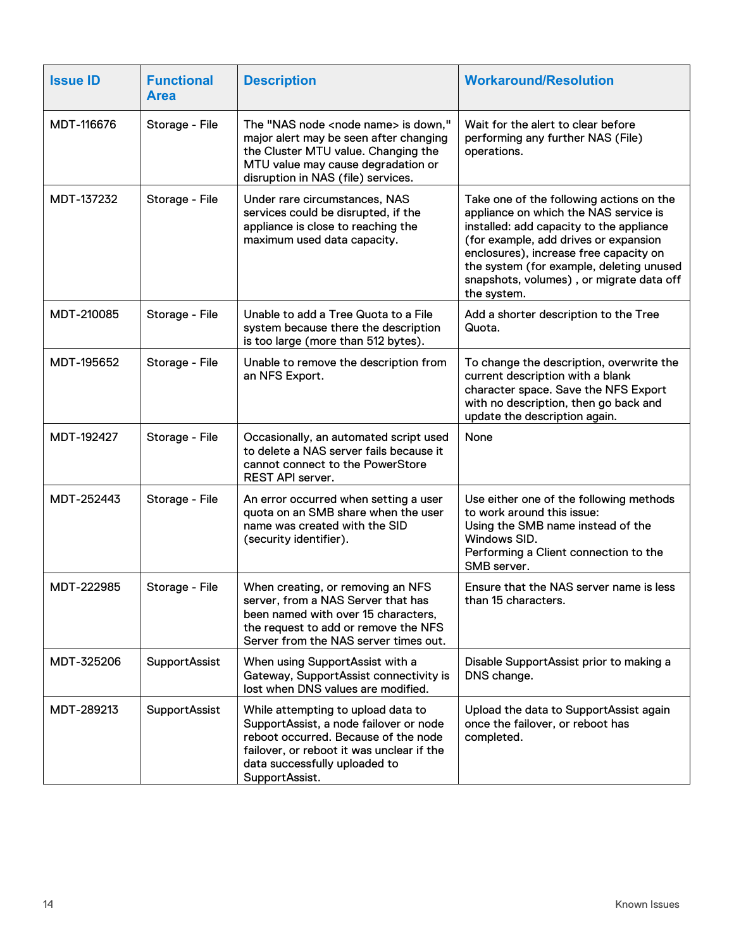| <b>Issue ID</b> | <b>Functional</b><br><b>Area</b> | <b>Description</b>                                                                                                                                                                                                   | <b>Workaround/Resolution</b>                                                                                                                                                                                                                                                                                            |
|-----------------|----------------------------------|----------------------------------------------------------------------------------------------------------------------------------------------------------------------------------------------------------------------|-------------------------------------------------------------------------------------------------------------------------------------------------------------------------------------------------------------------------------------------------------------------------------------------------------------------------|
| MDT-116676      | Storage - File                   | The "NAS node <node name=""> is down,"<br/>major alert may be seen after changing<br/>the Cluster MTU value. Changing the<br/>MTU value may cause degradation or<br/>disruption in NAS (file) services.</node>       | Wait for the alert to clear before<br>performing any further NAS (File)<br>operations.                                                                                                                                                                                                                                  |
| MDT-137232      | Storage - File                   | Under rare circumstances, NAS<br>services could be disrupted, if the<br>appliance is close to reaching the<br>maximum used data capacity.                                                                            | Take one of the following actions on the<br>appliance on which the NAS service is<br>installed: add capacity to the appliance<br>(for example, add drives or expansion<br>enclosures), increase free capacity on<br>the system (for example, deleting unused<br>snapshots, volumes), or migrate data off<br>the system. |
| MDT-210085      | Storage - File                   | Unable to add a Tree Quota to a File<br>system because there the description<br>is too large (more than 512 bytes).                                                                                                  | Add a shorter description to the Tree<br>Quota.                                                                                                                                                                                                                                                                         |
| MDT-195652      | Storage - File                   | Unable to remove the description from<br>an NFS Export.                                                                                                                                                              | To change the description, overwrite the<br>current description with a blank<br>character space. Save the NFS Export<br>with no description, then go back and<br>update the description again.                                                                                                                          |
| MDT-192427      | Storage - File                   | Occasionally, an automated script used<br>to delete a NAS server fails because it<br>cannot connect to the PowerStore<br>REST API server.                                                                            | None                                                                                                                                                                                                                                                                                                                    |
| MDT-252443      | Storage - File                   | An error occurred when setting a user<br>quota on an SMB share when the user<br>name was created with the SID<br>(security identifier).                                                                              | Use either one of the following methods<br>to work around this issue:<br>Using the SMB name instead of the<br>Windows SID.<br>Performing a Client connection to the<br>SMB server.                                                                                                                                      |
| MDT-222985      | Storage - File                   | When creating, or removing an NFS<br>server, from a NAS Server that has<br>been named with over 15 characters,<br>the request to add or remove the NFS<br>Server from the NAS server times out.                      | Ensure that the NAS server name is less<br>than 15 characters.                                                                                                                                                                                                                                                          |
| MDT-325206      | <b>SupportAssist</b>             | When using SupportAssist with a<br>Gateway, SupportAssist connectivity is<br>lost when DNS values are modified.                                                                                                      | Disable SupportAssist prior to making a<br>DNS change.                                                                                                                                                                                                                                                                  |
| MDT-289213      | <b>SupportAssist</b>             | While attempting to upload data to<br>SupportAssist, a node failover or node<br>reboot occurred. Because of the node<br>failover, or reboot it was unclear if the<br>data successfully uploaded to<br>SupportAssist. | Upload the data to SupportAssist again<br>once the failover, or reboot has<br>completed.                                                                                                                                                                                                                                |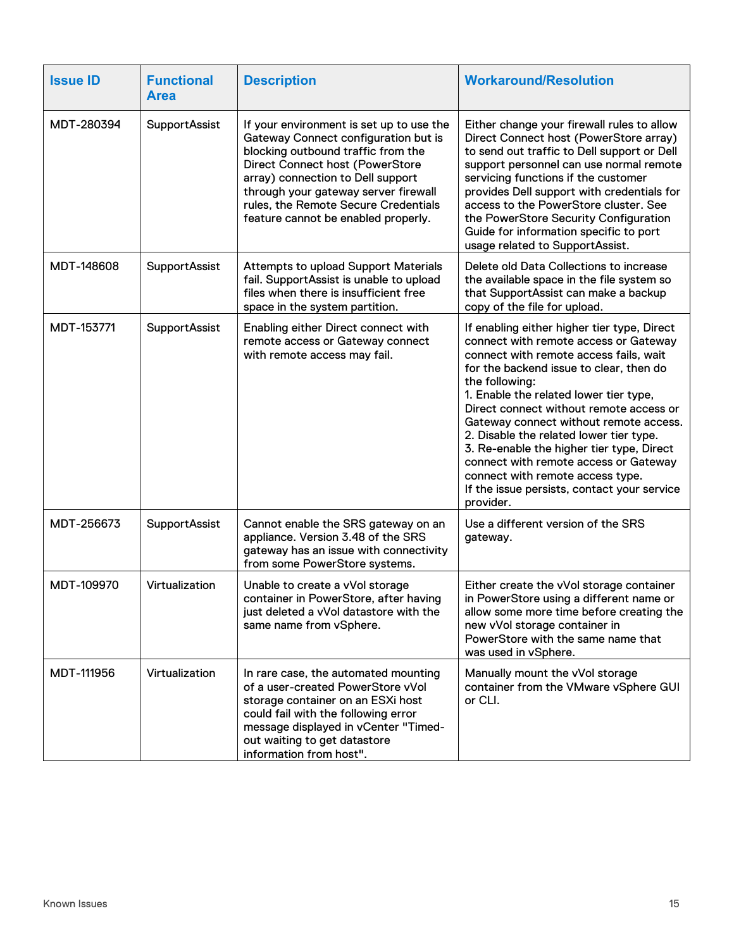| <b>Issue ID</b> | <b>Functional</b><br><b>Area</b> | <b>Description</b>                                                                                                                                                                                                                                                                                                    | <b>Workaround/Resolution</b>                                                                                                                                                                                                                                                                                                                                                                                                                                                                                                                                |
|-----------------|----------------------------------|-----------------------------------------------------------------------------------------------------------------------------------------------------------------------------------------------------------------------------------------------------------------------------------------------------------------------|-------------------------------------------------------------------------------------------------------------------------------------------------------------------------------------------------------------------------------------------------------------------------------------------------------------------------------------------------------------------------------------------------------------------------------------------------------------------------------------------------------------------------------------------------------------|
| MDT-280394      | <b>SupportAssist</b>             | If your environment is set up to use the<br>Gateway Connect configuration but is<br>blocking outbound traffic from the<br>Direct Connect host (PowerStore<br>array) connection to Dell support<br>through your gateway server firewall<br>rules, the Remote Secure Credentials<br>feature cannot be enabled properly. | Either change your firewall rules to allow<br>Direct Connect host (PowerStore array)<br>to send out traffic to Dell support or Dell<br>support personnel can use normal remote<br>servicing functions if the customer<br>provides Dell support with credentials for<br>access to the PowerStore cluster. See<br>the PowerStore Security Configuration<br>Guide for information specific to port<br>usage related to SupportAssist.                                                                                                                          |
| MDT-148608      | <b>SupportAssist</b>             | Attempts to upload Support Materials<br>fail. SupportAssist is unable to upload<br>files when there is insufficient free<br>space in the system partition.                                                                                                                                                            | Delete old Data Collections to increase<br>the available space in the file system so<br>that SupportAssist can make a backup<br>copy of the file for upload.                                                                                                                                                                                                                                                                                                                                                                                                |
| MDT-153771      | <b>SupportAssist</b>             | Enabling either Direct connect with<br>remote access or Gateway connect<br>with remote access may fail.                                                                                                                                                                                                               | If enabling either higher tier type, Direct<br>connect with remote access or Gateway<br>connect with remote access fails, wait<br>for the backend issue to clear, then do<br>the following:<br>1. Enable the related lower tier type,<br>Direct connect without remote access or<br>Gateway connect without remote access.<br>2. Disable the related lower tier type.<br>3. Re-enable the higher tier type, Direct<br>connect with remote access or Gateway<br>connect with remote access type.<br>If the issue persists, contact your service<br>provider. |
| MDT-256673      | <b>SupportAssist</b>             | Cannot enable the SRS gateway on an<br>appliance. Version 3.48 of the SRS<br>gateway has an issue with connectivity<br>from some PowerStore systems.                                                                                                                                                                  | Use a different version of the SRS<br>gateway.                                                                                                                                                                                                                                                                                                                                                                                                                                                                                                              |
| MDT-109970      | Virtualization                   | Unable to create a vVol storage<br>container in PowerStore, after having<br>just deleted a vVol datastore with the<br>same name from vSphere.                                                                                                                                                                         | Either create the vVol storage container<br>in PowerStore using a different name or<br>allow some more time before creating the<br>new vVol storage container in<br>PowerStore with the same name that<br>was used in vSphere.                                                                                                                                                                                                                                                                                                                              |
| MDT-111956      | Virtualization                   | In rare case, the automated mounting<br>of a user-created PowerStore vVol<br>storage container on an ESXi host<br>could fail with the following error<br>message displayed in vCenter "Timed-<br>out waiting to get datastore<br>information from host".                                                              | Manually mount the vVol storage<br>container from the VMware vSphere GUI<br>or CLI.                                                                                                                                                                                                                                                                                                                                                                                                                                                                         |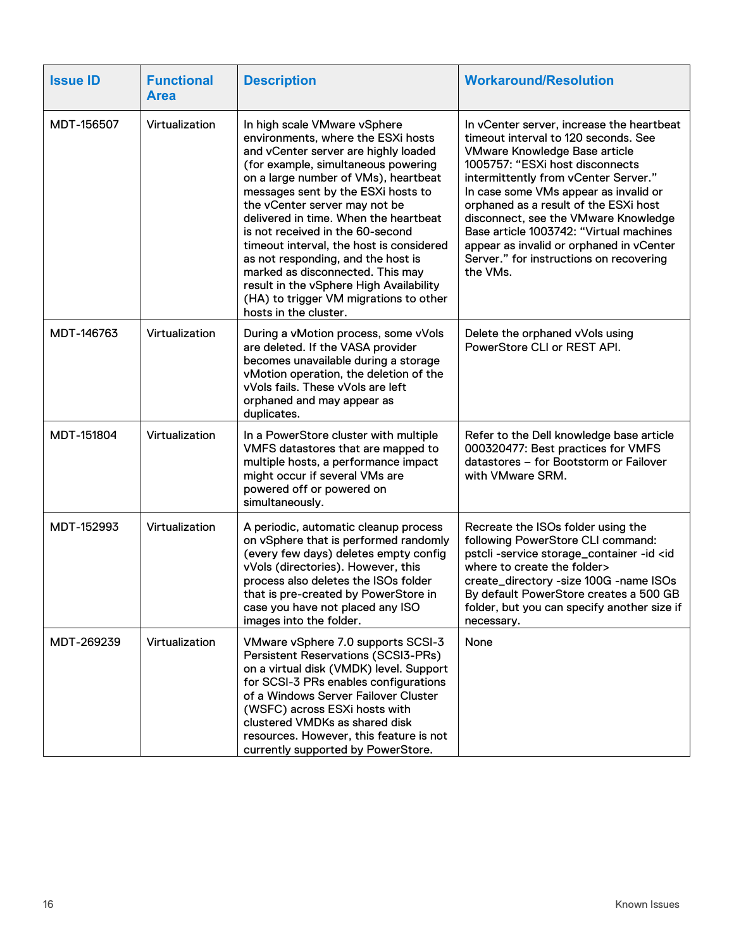| <b>Issue ID</b> | <b>Functional</b><br><b>Area</b> | <b>Description</b>                                                                                                                                                                                                                                                                                                                                                                                                                                                                                                                                                                | <b>Workaround/Resolution</b>                                                                                                                                                                                                                                                                                                                                                                                                                                          |
|-----------------|----------------------------------|-----------------------------------------------------------------------------------------------------------------------------------------------------------------------------------------------------------------------------------------------------------------------------------------------------------------------------------------------------------------------------------------------------------------------------------------------------------------------------------------------------------------------------------------------------------------------------------|-----------------------------------------------------------------------------------------------------------------------------------------------------------------------------------------------------------------------------------------------------------------------------------------------------------------------------------------------------------------------------------------------------------------------------------------------------------------------|
| MDT-156507      | Virtualization                   | In high scale VMware vSphere<br>environments, where the ESXi hosts<br>and vCenter server are highly loaded<br>(for example, simultaneous powering<br>on a large number of VMs), heartbeat<br>messages sent by the ESXi hosts to<br>the vCenter server may not be<br>delivered in time. When the heartbeat<br>is not received in the 60-second<br>timeout interval, the host is considered<br>as not responding, and the host is<br>marked as disconnected. This may<br>result in the vSphere High Availability<br>(HA) to trigger VM migrations to other<br>hosts in the cluster. | In vCenter server, increase the heartbeat<br>timeout interval to 120 seconds. See<br>VMware Knowledge Base article<br>1005757: "ESXi host disconnects<br>intermittently from vCenter Server."<br>In case some VMs appear as invalid or<br>orphaned as a result of the ESXi host<br>disconnect, see the VMware Knowledge<br>Base article 1003742: "Virtual machines<br>appear as invalid or orphaned in vCenter<br>Server." for instructions on recovering<br>the VMs. |
| MDT-146763      | Virtualization                   | During a vMotion process, some vVols<br>are deleted. If the VASA provider<br>becomes unavailable during a storage<br>vMotion operation, the deletion of the<br>vVols fails. These vVols are left<br>orphaned and may appear as<br>duplicates.                                                                                                                                                                                                                                                                                                                                     | Delete the orphaned vVols using<br>PowerStore CLI or REST API.                                                                                                                                                                                                                                                                                                                                                                                                        |
| MDT-151804      | Virtualization                   | In a PowerStore cluster with multiple<br>VMFS datastores that are mapped to<br>multiple hosts, a performance impact<br>might occur if several VMs are<br>powered off or powered on<br>simultaneously.                                                                                                                                                                                                                                                                                                                                                                             | Refer to the Dell knowledge base article<br>000320477: Best practices for VMFS<br>datastores - for Bootstorm or Failover<br>with VMware SRM.                                                                                                                                                                                                                                                                                                                          |
| MDT-152993      | Virtualization                   | A periodic, automatic cleanup process<br>on vSphere that is performed randomly<br>(every few days) deletes empty config<br>vVols (directories). However, this<br>process also deletes the ISOs folder<br>that is pre-created by PowerStore in<br>case you have not placed any ISO<br>images into the folder.                                                                                                                                                                                                                                                                      | Recreate the ISOs folder using the<br>following PowerStore CLI command:<br>pstcli-service storage_container-id <id<br>where to create the folder&gt;<br/>create_directory -size 100G -name ISOs<br/>By default PowerStore creates a 500 GB<br/>folder, but you can specify another size if<br/>necessary.</id<br>                                                                                                                                                     |
| MDT-269239      | Virtualization                   | VMware vSphere 7.0 supports SCSI-3<br>Persistent Reservations (SCSI3-PRs)<br>on a virtual disk (VMDK) level. Support<br>for SCSI-3 PRs enables configurations<br>of a Windows Server Failover Cluster<br>(WSFC) across ESXi hosts with<br>clustered VMDKs as shared disk<br>resources. However, this feature is not<br>currently supported by PowerStore.                                                                                                                                                                                                                         | None                                                                                                                                                                                                                                                                                                                                                                                                                                                                  |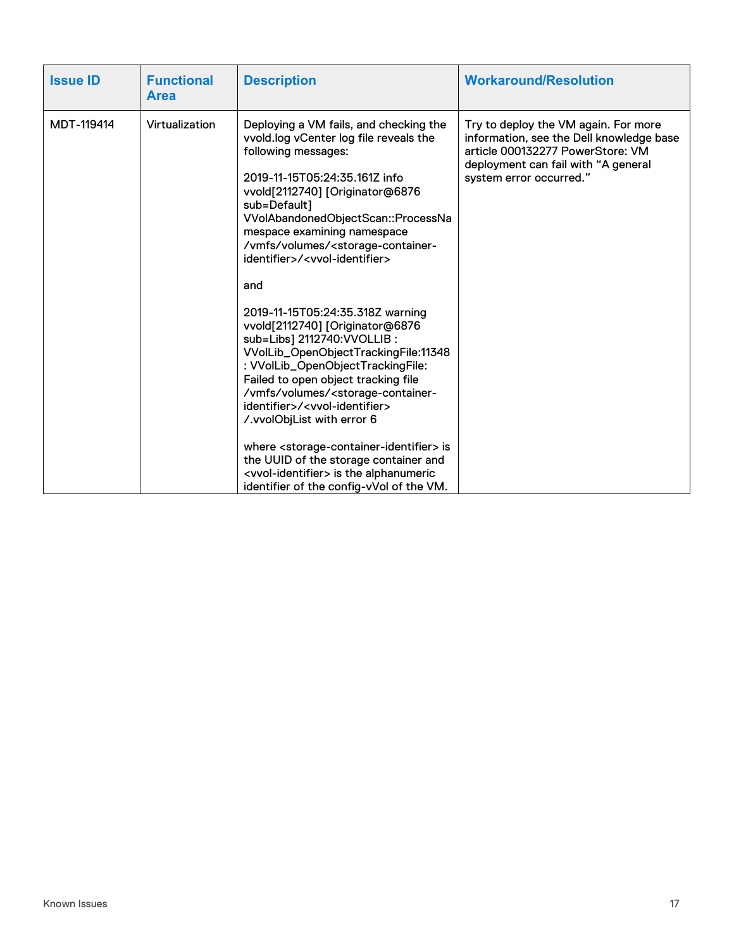| <b>Issue ID</b>                              | <b>Functional</b><br><b>Area</b> | <b>Description</b>                                                                                                                                                                                                                                                                                                                                                                                                                                                                                                                                                                                       | <b>Workaround/Resolution</b>                                                                                                                                                           |
|----------------------------------------------|----------------------------------|----------------------------------------------------------------------------------------------------------------------------------------------------------------------------------------------------------------------------------------------------------------------------------------------------------------------------------------------------------------------------------------------------------------------------------------------------------------------------------------------------------------------------------------------------------------------------------------------------------|----------------------------------------------------------------------------------------------------------------------------------------------------------------------------------------|
| MDT-119414<br>Virtualization<br>sub=Default] |                                  | Deploying a VM fails, and checking the<br>vvold.log vCenter log file reveals the<br>following messages:<br>2019-11-15T05:24:35.161Z info<br>vvold[2112740] [Originator@6876<br>VVolAbandonedObjectScan::ProcessNa<br>mespace examining namespace<br>/vmfs/volumes/ <storage-container-<br>identifier&gt;/<vvol-identifier><br/>and</vvol-identifier></storage-container-<br>                                                                                                                                                                                                                             | Try to deploy the VM again. For more<br>information, see the Dell knowledge base<br>article 000132277 PowerStore: VM<br>deployment can fail with "A general<br>system error occurred." |
|                                              |                                  | 2019-11-15T05:24:35.318Z warning<br>vvold[2112740] [Originator@6876<br>sub=Libs] 2112740: VVOLLIB :<br>VVolLib_OpenObjectTrackingFile:11348<br>: VVolLib_OpenObjectTrackingFile:<br>Failed to open object tracking file<br>/vmfs/volumes/ <storage-container-<br>identifier&gt;/<vvol-identifier><br/>/.vvolObjList with error 6<br/>where <storage-container-identifier> is<br/>the UUID of the storage container and<br/><vvol-identifier> is the alphanumeric<br/>identifier of the config-vVol of the VM.</vvol-identifier></storage-container-identifier></vvol-identifier></storage-container-<br> |                                                                                                                                                                                        |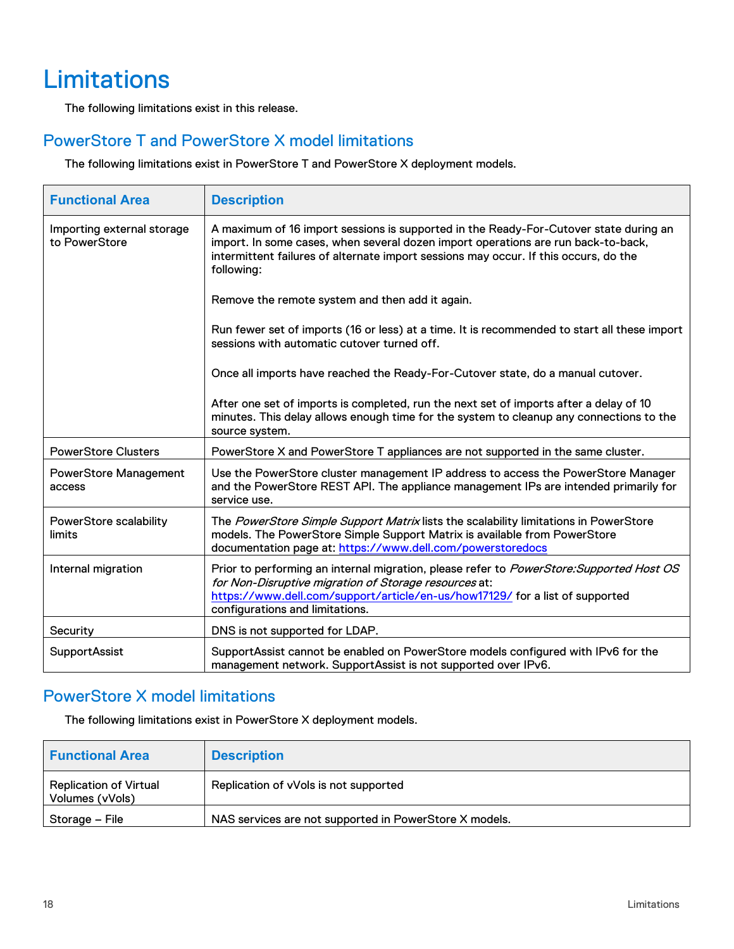# <span id="page-17-0"></span>**Limitations**

The following limitations exist in this release.

### PowerStore T and PowerStore X model limitations

The following limitations exist in PowerStore T and PowerStore X deployment models.

| <b>Functional Area</b>                      | <b>Description</b>                                                                                                                                                                                                                                                               |
|---------------------------------------------|----------------------------------------------------------------------------------------------------------------------------------------------------------------------------------------------------------------------------------------------------------------------------------|
| Importing external storage<br>to PowerStore | A maximum of 16 import sessions is supported in the Ready-For-Cutover state during an<br>import. In some cases, when several dozen import operations are run back-to-back,<br>intermittent failures of alternate import sessions may occur. If this occurs, do the<br>following: |
|                                             | Remove the remote system and then add it again.                                                                                                                                                                                                                                  |
|                                             | Run fewer set of imports (16 or less) at a time. It is recommended to start all these import<br>sessions with automatic cutover turned off.                                                                                                                                      |
|                                             | Once all imports have reached the Ready-For-Cutover state, do a manual cutover.                                                                                                                                                                                                  |
|                                             | After one set of imports is completed, run the next set of imports after a delay of 10<br>minutes. This delay allows enough time for the system to cleanup any connections to the<br>source system.                                                                              |
| <b>PowerStore Clusters</b>                  | PowerStore X and PowerStore T appliances are not supported in the same cluster.                                                                                                                                                                                                  |
| <b>PowerStore Management</b><br>access      | Use the PowerStore cluster management IP address to access the PowerStore Manager<br>and the PowerStore REST API. The appliance management IPs are intended primarily for<br>service use.                                                                                        |
| PowerStore scalability<br>limits            | The PowerStore Simple Support Matrix lists the scalability limitations in PowerStore<br>models. The PowerStore Simple Support Matrix is available from PowerStore<br>documentation page at: https://www.dell.com/powerstoredocs                                                  |
| Internal migration                          | Prior to performing an internal migration, please refer to PowerStore: Supported Host OS<br>for Non-Disruptive migration of Storage resources at:<br>https://www.dell.com/support/article/en-us/how17129/ for a list of supported<br>configurations and limitations.             |
| Security                                    | DNS is not supported for LDAP.                                                                                                                                                                                                                                                   |
| <b>SupportAssist</b>                        | SupportAssist cannot be enabled on PowerStore models configured with IPv6 for the<br>management network. SupportAssist is not supported over IPv6.                                                                                                                               |

### PowerStore X model limitations

The following limitations exist in PowerStore X deployment models.

| <b>Functional Area</b>                           | <b>Description</b>                                     |
|--------------------------------------------------|--------------------------------------------------------|
| <b>Replication of Virtual</b><br>Volumes (vVols) | Replication of vVols is not supported                  |
| Storage – File                                   | NAS services are not supported in PowerStore X models. |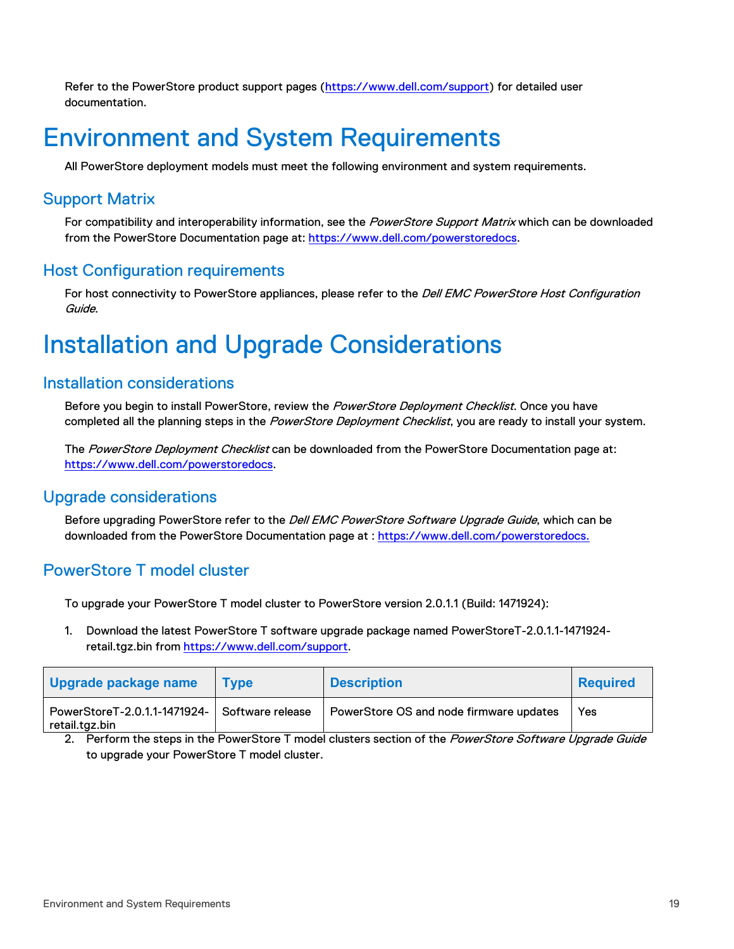Refer to the PowerStore product support pages [\(https://www.dell.com/support\)](https://www.dell.com/support) for detailed user documentation.

## <span id="page-18-0"></span>Environment and System Requirements

All PowerStore deployment models must meet the following environment and system requirements.

### Support Matrix

For compatibility and interoperability information, see the PowerStore Support Matrix which can be downloaded from the PowerStore Documentation page at[: https://www.dell.com/powerstoredocs.](https://www.dell.com/powerstoredocs)

### Host Configuration requirements

For host connectivity to PowerStore appliances, please refer to the *Dell EMC PowerStore Host Configuration* Guide.

# <span id="page-18-1"></span>Installation and Upgrade Considerations

### Installation considerations

Before you begin to install PowerStore, review the PowerStore Deployment Checklist. Once you have completed all the planning steps in the PowerStore Deployment Checklist, you are ready to install your system.

The PowerStore Deployment Checklist can be downloaded from the PowerStore Documentation page at: [https://www.dell.com/powerstoredocs.](https://www.dell.com/powerstoredocs)

#### Upgrade considerations

Before upgrading PowerStore refer to the *Dell EMC PowerStore Software Upgrade Guide*, which can be downloaded from the PowerStore Documentation page at : [https://www.dell.com/powerstoredocs.](https://www.dell.com/powerstoredocs)

### PowerStore T model cluster

To upgrade your PowerStore T model cluster to PowerStore version 2.0.1.1 (Build: 1471924):

1. Download the latest PowerStore T software upgrade package named PowerStoreT-2.0.1.1-1471924 retail.tgz.bin from [https://www.dell.com/support.](https://www.dell.com/support)

| Upgrade package name                                              | Tvpe | <b>Description</b>                      | <b>Required</b> |
|-------------------------------------------------------------------|------|-----------------------------------------|-----------------|
| PowerStoreT-2.0.1.1-1471924-   Software release<br>retail.tgz.bin |      | PowerStore OS and node firmware updates | Yes             |

2. Perform the steps in the PowerStore T model clusters section of the PowerStore Software Upgrade Guide to upgrade your PowerStore T model cluster.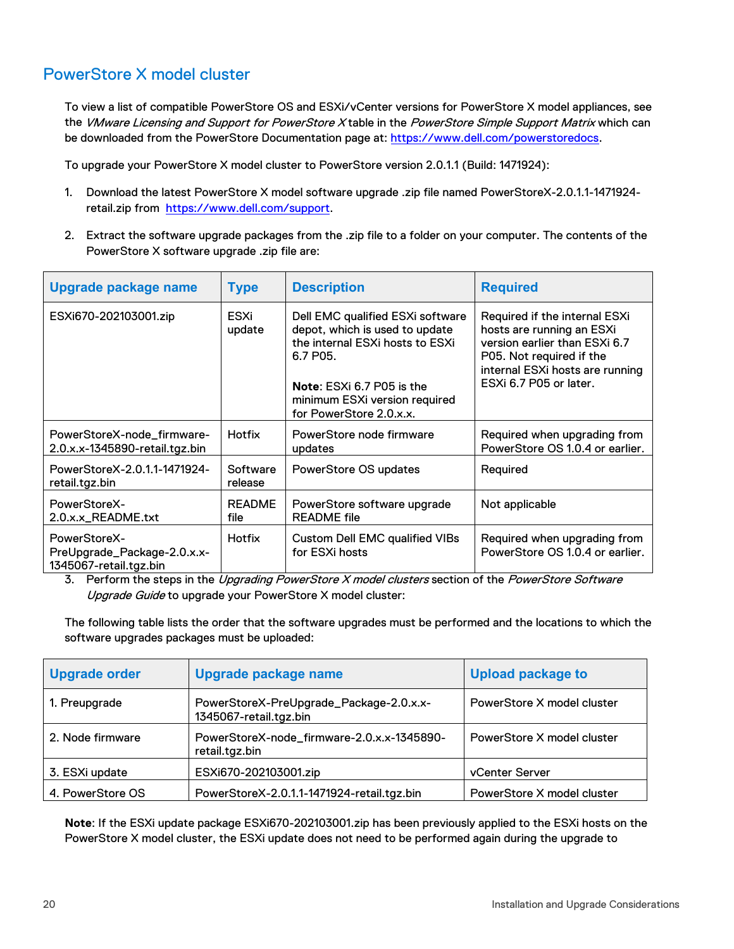## PowerStore X model cluster

To view a list of compatible PowerStore OS and ESXi/vCenter versions for PowerStore X model appliances, see the VMware Licensing and Support for PowerStore X table in the PowerStore Simple Support Matrix which can be downloaded from the PowerStore Documentation page at: [https://www.dell.com/powerstoredocs.](https://www.dell.com/powerstoredocs)

To upgrade your PowerStore X model cluster to PowerStore version 2.0.1.1 (Build: 1471924):

- 1. Download the latest PowerStore X model software upgrade .zip file named PowerStoreX-2.0.1.1-1471924 retail.zip from [https://www.dell.com/support.](https://www.dell.com/support)
- 2. Extract the software upgrade packages from the .zip file to a folder on your computer. The contents of the PowerStore X software upgrade .zip file are:

| Upgrade package name                                                  | <b>Type</b>           | <b>Description</b>                                                                                                                                                                                         | <b>Required</b>                                                                                                                                                                      |
|-----------------------------------------------------------------------|-----------------------|------------------------------------------------------------------------------------------------------------------------------------------------------------------------------------------------------------|--------------------------------------------------------------------------------------------------------------------------------------------------------------------------------------|
| ESXi670-202103001.zip                                                 | ESXi<br>update        | Dell EMC qualified ESXi software<br>depot, which is used to update<br>the internal ESXi hosts to ESXi<br>6.7 P05.<br>Note: ESXi 6.7 P05 is the<br>minimum ESXI version required<br>for PowerStore 2.0.x.x. | Required if the internal ESXi<br>hosts are running an ESXi<br>version earlier than ESXi 6.7<br>P05. Not required if the<br>internal ESXi hosts are running<br>ESXi 6.7 P05 or later. |
| PowerStoreX-node_firmware-<br>2.0.x.x-1345890-retail.tgz.bin          | <b>Hotfix</b>         | PowerStore node firmware<br>updates                                                                                                                                                                        | Required when upgrading from<br>PowerStore OS 1.0.4 or earlier.                                                                                                                      |
| PowerStoreX-2.0.1.1-1471924-<br>retail.tgz.bin                        | Software<br>release   | PowerStore OS updates                                                                                                                                                                                      | Required                                                                                                                                                                             |
| PowerStoreX-<br>2.0.x.x_README.txt                                    | <b>README</b><br>file | PowerStore software upgrade<br><b>README</b> file                                                                                                                                                          | Not applicable                                                                                                                                                                       |
| PowerStoreX-<br>PreUpgrade_Package-2.0.x.x-<br>1345067-retail.tgz.bin | <b>Hotfix</b>         | Custom Dell EMC qualified VIBs<br>for ESXi hosts                                                                                                                                                           | Required when upgrading from<br>PowerStore OS 1.0.4 or earlier.                                                                                                                      |

3. Perform the steps in the Upgrading PowerStore X model clusters section of the PowerStore Software Upgrade Guide to upgrade your PowerStore X model cluster:

The following table lists the order that the software upgrades must be performed and the locations to which the software upgrades packages must be uploaded:

| <b>Upgrade order</b> | Upgrade package name                                              | <b>Upload package to</b>   |
|----------------------|-------------------------------------------------------------------|----------------------------|
| 1. Preupgrade        | PowerStoreX-PreUpgrade_Package-2.0.x.x-<br>1345067-retail.tgz.bin | PowerStore X model cluster |
| 2. Node firmware     | PowerStoreX-node_firmware-2.0.x.x-1345890-<br>retail.tgz.bin      | PowerStore X model cluster |
| 3. ESXi update       | ESXi670-202103001.zip                                             | <b>vCenter Server</b>      |
| 4. PowerStore OS     | PowerStoreX-2.0.1.1-1471924-retail.tgz.bin                        | PowerStore X model cluster |

**Note**: If the ESXi update package ESXi670-202103001.zip has been previously applied to the ESXi hosts on the PowerStore X model cluster, the ESXi update does not need to be performed again during the upgrade to